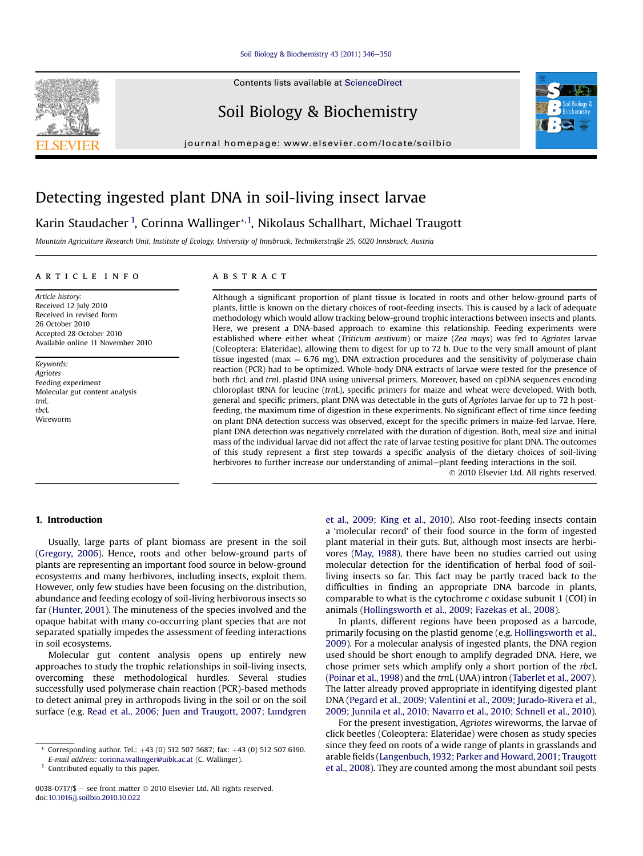#### [Soil Biology & Biochemistry 43 \(2011\) 346](http://dx.doi.org/10.1016/j.soilbio.2010.10.022)-[350](http://dx.doi.org/10.1016/j.soilbio.2010.10.022)

Contents lists available at ScienceDirect

## Soil Biology & Biochemistry

journal homepage: [www.elsevier.com/locate/soilbio](http://www.elsevier.com/locate/soilbio)



# Detecting ingested plant DNA in soil-living insect larvae

Karin Staudacher <sup>1</sup>, Corinna Wallinger\*<sup>, 1</sup>, Nikolaus Schallhart, Michael Traugott

Mountain Agriculture Research Unit, Institute of Ecology, University of Innsbruck, Technikerstraße 25, 6020 Innsbruck, Austria

#### article info

Article history: Received 12 July 2010 Received in revised form 26 October 2010 Accepted 28 October 2010 Available online 11 November 2010

Keywords: **Agriotes** Feeding experiment Molecular gut content analysis trnL rbcL Wireworm

## **ABSTRACT**

Although a significant proportion of plant tissue is located in roots and other below-ground parts of plants, little is known on the dietary choices of root-feeding insects. This is caused by a lack of adequate methodology which would allow tracking below-ground trophic interactions between insects and plants. Here, we present a DNA-based approach to examine this relationship. Feeding experiments were established where either wheat (Triticum aestivum) or maize (Zea mays) was fed to Agriotes larvae (Coleoptera: Elateridae), allowing them to digest for up to 72 h. Due to the very small amount of plant tissue ingested (max  $= 6.76$  mg), DNA extraction procedures and the sensitivity of polymerase chain reaction (PCR) had to be optimized. Whole-body DNA extracts of larvae were tested for the presence of both rbcL and trnL plastid DNA using universal primers. Moreover, based on cpDNA sequences encoding chloroplast tRNA for leucine (trnL), specific primers for maize and wheat were developed. With both, general and specific primers, plant DNA was detectable in the guts of Agriotes larvae for up to 72 h postfeeding, the maximum time of digestion in these experiments. No significant effect of time since feeding on plant DNA detection success was observed, except for the specific primers in maize-fed larvae. Here, plant DNA detection was negatively correlated with the duration of digestion. Both, meal size and initial mass of the individual larvae did not affect the rate of larvae testing positive for plant DNA. The outcomes of this study represent a first step towards a specific analysis of the dietary choices of soil-living herbivores to further increase our understanding of animal-plant feeding interactions in the soil.

2010 Elsevier Ltd. All rights reserved.

### 1. Introduction

Usually, large parts of plant biomass are present in the soil ([Gregory, 2006](#page-4-0)). Hence, roots and other below-ground parts of plants are representing an important food source in below-ground ecosystems and many herbivores, including insects, exploit them. However, only few studies have been focusing on the distribution, abundance and feeding ecology of soil-living herbivorous insects so far [\(Hunter, 2001\)](#page-4-0). The minuteness of the species involved and the opaque habitat with many co-occurring plant species that are not separated spatially impedes the assessment of feeding interactions in soil ecosystems.

Molecular gut content analysis opens up entirely new approaches to study the trophic relationships in soil-living insects, overcoming these methodological hurdles. Several studies successfully used polymerase chain reaction (PCR)-based methods to detect animal prey in arthropods living in the soil or on the soil surface (e.g. [Read et al., 2006; Juen and Traugott, 2007; Lundgren](#page-4-0) [et al., 2009; King et al., 2010](#page-4-0)). Also root-feeding insects contain a 'molecular record' of their food source in the form of ingested plant material in their guts. But, although most insects are herbivores ([May, 1988\)](#page-4-0), there have been no studies carried out using molecular detection for the identification of herbal food of soilliving insects so far. This fact may be partly traced back to the difficulties in finding an appropriate DNA barcode in plants, comparable to what is the cytochrome  $c$  oxidase subunit 1 (COI) in animals ([Hollingsworth et al., 2009; Fazekas et al., 2008](#page-4-0)).

In plants, different regions have been proposed as a barcode, primarily focusing on the plastid genome (e.g. [Hollingsworth et al.,](#page-4-0) [2009](#page-4-0)). For a molecular analysis of ingested plants, the DNA region used should be short enough to amplify degraded DNA. Here, we chose primer sets which amplify only a short portion of the rbcL ([Poinar et al., 1998](#page-4-0)) and the trnL (UAA) intron ([Taberlet et al., 2007\)](#page-4-0). The latter already proved appropriate in identifying digested plant DNA ([Pegard et al., 2009; Valentini et al., 2009; Jurado-Rivera et al.,](#page-4-0) [2009; Junnila et al., 2010; Navarro et al., 2010; Schnell et al., 2010\)](#page-4-0).

For the present investigation, Agriotes wireworms, the larvae of click beetles (Coleoptera: Elateridae) were chosen as study species since they feed on roots of a wide range of plants in grasslands and arable fields [\(Langenbuch,1932; Parker and Howard, 2001; Traugott](#page-4-0) [et al., 2008\)](#page-4-0). They are counted among the most abundant soil pests



<sup>\*</sup> Corresponding author. Tel.:  $+43$  (0) 512 507 5687; fax:  $+43$  (0) 512 507 6190.

E-mail address: [corinna.wallinger@uibk.ac.at](mailto:corinna.wallinger@uibk.ac.at) (C. Wallinger).

<sup>&</sup>lt;sup>1</sup> Contributed equally to this paper.

<sup>0038-0717/\$ -</sup> see front matter  $\odot$  2010 Elsevier Ltd. All rights reserved. doi:[10.1016/j.soilbio.2010.10.022](http://dx.doi.org/10.1016/j.soilbio.2010.10.022)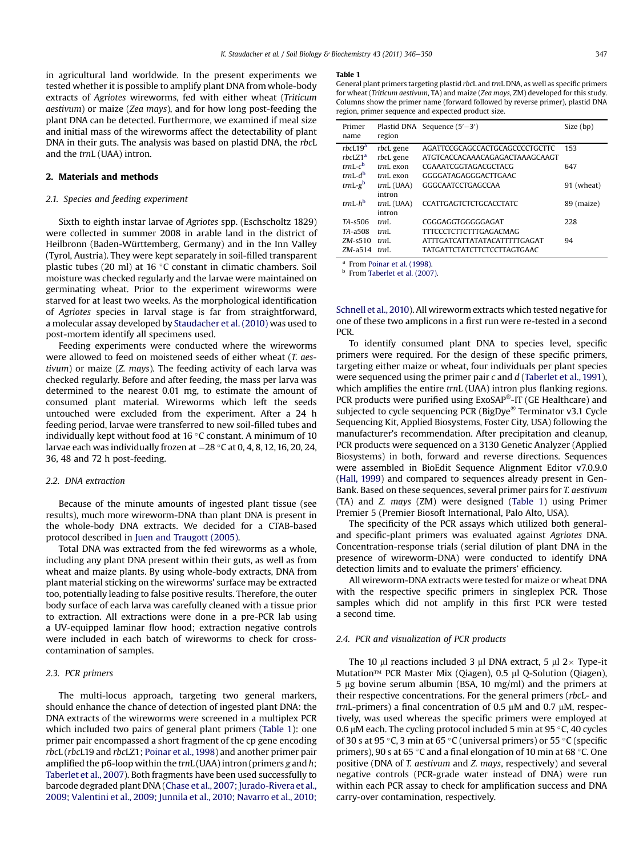in agricultural land worldwide. In the present experiments we tested whether it is possible to amplify plant DNA from whole-body extracts of Agriotes wireworms, fed with either wheat (Triticum aestivum) or maize (Zea mays), and for how long post-feeding the plant DNA can be detected. Furthermore, we examined if meal size and initial mass of the wireworms affect the detectability of plant DNA in their guts. The analysis was based on plastid DNA, the rbcL and the trnL (UAA) intron.

### 2. Materials and methods

#### 2.1. Species and feeding experiment

Sixth to eighth instar larvae of Agriotes spp. (Eschscholtz 1829) were collected in summer 2008 in arable land in the district of Heilbronn (Baden-Württemberg, Germany) and in the Inn Valley (Tyrol, Austria). They were kept separately in soil-filled transparent plastic tubes (20 ml) at 16 °C constant in climatic chambers. Soil moisture was checked regularly and the larvae were maintained on germinating wheat. Prior to the experiment wireworms were starved for at least two weeks. As the morphological identification of Agriotes species in larval stage is far from straightforward, a molecular assay developed by [Staudacher et al. \(2010\)](#page-4-0) was used to post-mortem identify all specimens used.

Feeding experiments were conducted where the wireworms were allowed to feed on moistened seeds of either wheat (T. aestivum) or maize (Z. mays). The feeding activity of each larva was checked regularly. Before and after feeding, the mass per larva was determined to the nearest 0.01 mg, to estimate the amount of consumed plant material. Wireworms which left the seeds untouched were excluded from the experiment. After a 24 h feeding period, larvae were transferred to new soil-filled tubes and individually kept without food at 16 °C constant. A minimum of 10  $\,$ larvae each was individually frozen at –28 °C at 0, 4, 8, 12, 16, 20, 24,<br>-36, 48 and 72 h post-feeding.

#### 2.2. DNA extraction

Because of the minute amounts of ingested plant tissue (see results), much more wireworm-DNA than plant DNA is present in the whole-body DNA extracts. We decided for a CTAB-based protocol described in [Juen and Traugott \(2005\).](#page-4-0)

Total DNA was extracted from the fed wireworms as a whole, including any plant DNA present within their guts, as well as from wheat and maize plants. By using whole-body extracts, DNA from plant material sticking on the wireworms' surface may be extracted too, potentially leading to false positive results. Therefore, the outer body surface of each larva was carefully cleaned with a tissue prior to extraction. All extractions were done in a pre-PCR lab using a UV-equipped laminar flow hood; extraction negative controls were included in each batch of wireworms to check for crosscontamination of samples.

## 2.3. PCR primers

The multi-locus approach, targeting two general markers, should enhance the chance of detection of ingested plant DNA: the DNA extracts of the wireworms were screened in a multiplex PCR which included two pairs of general plant primers (Table 1): one primer pair encompassed a short fragment of the cp gene encoding rbcL (rbcL19 and rbcLZ1; [Poinar et al., 1998](#page-4-0)) and another primer pair amplified the p6-loop within the  $trnL$  (UAA) intron (primers g and h; [Taberlet et al., 2007\)](#page-4-0). Both fragments have been used successfully to barcode degraded plant DNA ([Chase et al., 2007; Jurado-Rivera et al.,](#page-3-0) [2009; Valentini et al., 2009; Junnila et al., 2010; Navarro et al., 2010;](#page-3-0)

#### Table 1

General plant primers targeting plastid rbcL and trnL DNA, as well as specific primers for wheat (Triticum aestivum, TA) and maize (Zea mays, ZM) developed for this study. Columns show the primer name (forward followed by reverse primer), plastid DNA region, primer sequence and expected product size.

| Primer<br>name                             | region                           | Plastid DNA Sequence $(5' - 3')$                                                                           | Size (bp)  |
|--------------------------------------------|----------------------------------|------------------------------------------------------------------------------------------------------------|------------|
| rbcL19 <sup>a</sup><br>rbcLZ1 <sup>a</sup> | rbcL gene<br>rbcL gene           | AGATTCCGCAGCCACTGCAGCCCCTGCTTC<br>ATGTCACCACAAACAGAGACTAAAGCAAGT                                           | 153        |
| $trnI - c^b$<br>$trnL-d^b$                 | $trnL$ exon<br>$trnL$ exon       | CGAAATCGGTAGACGCTACG<br>GGGGATAGAGGGACTTGAAC                                                               | 647        |
| $trnL-gb$                                  | $trnL$ (UAA)                     | GGGCAATCCTGAGCCAA                                                                                          | 91 (wheat) |
| $trnL-h^b$                                 | intron<br>$trnL$ (UAA)<br>intron | <b>CCATTGAGTCTCTGCACCTATC</b>                                                                              | 89 (maize) |
| TA-s506                                    | trnI.                            | CGGGAGGTGGGGGAGAT                                                                                          | 228        |
| TA-a508<br>$ZM - s510$<br>$ZM$ -a514       | trnI.<br>trnI.<br>trnI.          | <b>TITCCCTCTTCTTTGAGACMAG</b><br><b>ATTTGATCATTATATACATTTTTGAGAT</b><br><b>TATGATTCTATCTTCTCCTTAGTGAAC</b> | 94         |

<sup>a</sup> From [Poinar et al. \(1998\)](#page-4-0).

<sup>b</sup> From [Taberlet et al. \(2007\).](#page-4-0)

[Schnell et al., 2010](#page-3-0)). All wireworm extracts which tested negative for one of these two amplicons in a first run were re-tested in a second PCR.

To identify consumed plant DNA to species level, specific primers were required. For the design of these specific primers, targeting either maize or wheat, four individuals per plant species were sequenced using the primer pair  $c$  and  $d$  [\(Taberlet et al., 1991\)](#page-4-0), which amplifies the entire trnL (UAA) intron plus flanking regions. PCR products were purified using ExoSAP®-IT (GE Healthcare) and subjected to cycle sequencing PCR (BigDye® Terminator v3.1 Cycle Sequencing Kit, Applied Biosystems, Foster City, USA) following the manufacturer's recommendation. After precipitation and cleanup, PCR products were sequenced on a 3130 Genetic Analyzer (Applied Biosystems) in both, forward and reverse directions. Sequences were assembled in BioEdit Sequence Alignment Editor v7.0.9.0 ([Hall, 1999\)](#page-4-0) and compared to sequences already present in Gen-Bank. Based on these sequences, several primer pairs for T. aestivum (TA) and Z. mays (ZM) were designed (Table 1) using Primer Premier 5 (Premier Biosoft International, Palo Alto, USA).

The specificity of the PCR assays which utilized both generaland specific-plant primers was evaluated against Agriotes DNA. Concentration-response trials (serial dilution of plant DNA in the presence of wireworm-DNA) were conducted to identify DNA detection limits and to evaluate the primers' efficiency.

All wireworm-DNA extracts were tested for maize or wheat DNA with the respective specific primers in singleplex PCR. Those samples which did not amplify in this first PCR were tested a second time.

## 2.4. PCR and visualization of PCR products

The 10  $\mu$ l reactions included 3  $\mu$ l DNA extract, 5  $\mu$ l 2 $\times$  Type-it Mutation<sup>™</sup> PCR Master Mix (Qiagen), 0.5 µl Q-Solution (Qiagen), 5  $\mu$ g bovine serum albumin (BSA, 10 mg/ml) and the primers at their respective concentrations. For the general primers (rbcL- and trnL-primers) a final concentration of 0.5  $\mu$ M and 0.7  $\mu$ M, respectively, was used whereas the specific primers were employed at 0.6  $\mu$ M each. The cycling protocol included 5 min at 95 °C, 40 cycles of 30 s at 95 °C, 3 min at 65 °C (universal primers) or 55 °C (specific primers), 90 s at 65 °C and a final elongation of 10 min at 68 °C. One positive (DNA of T. aestivum and Z. mays, respectively) and several negative controls (PCR-grade water instead of DNA) were run within each PCR assay to check for amplification success and DNA carry-over contamination, respectively.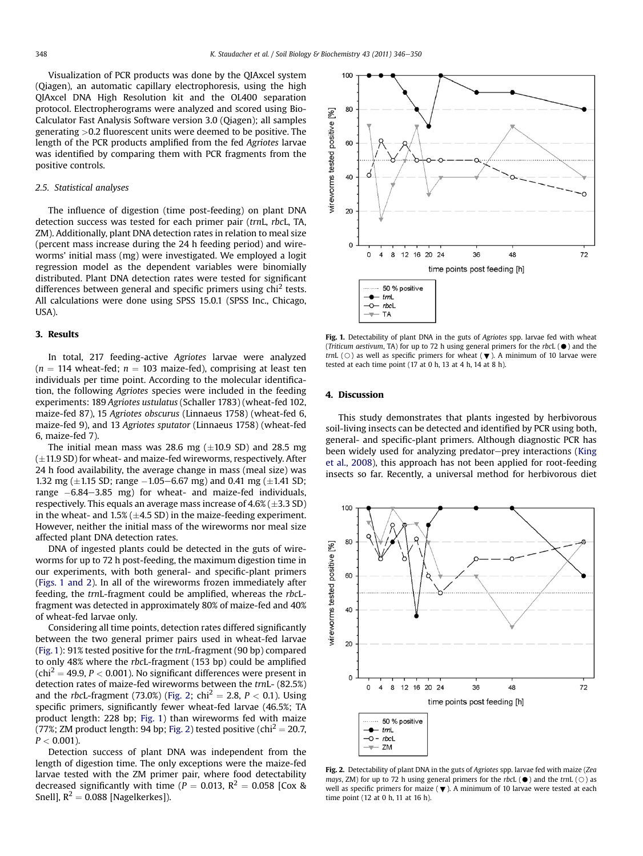Visualization of PCR products was done by the QIAxcel system (Qiagen), an automatic capillary electrophoresis, using the high QIAxcel DNA High Resolution kit and the OL400 separation protocol. Electropherograms were analyzed and scored using Bio-Calculator Fast Analysis Software version 3.0 (Qiagen); all samples generating >0.2 fluorescent units were deemed to be positive. The length of the PCR products amplified from the fed Agriotes larvae was identified by comparing them with PCR fragments from the positive controls.

#### 2.5. Statistical analyses

The influence of digestion (time post-feeding) on plant DNA detection success was tested for each primer pair (trnL, rbcL, TA, ZM). Additionally, plant DNA detection rates in relation to meal size (percent mass increase during the 24 h feeding period) and wireworms' initial mass (mg) were investigated. We employed a logit regression model as the dependent variables were binomially distributed. Plant DNA detection rates were tested for significant differences between general and specific primers using chi<sup>2</sup> tests. All calculations were done using SPSS 15.0.1 (SPSS Inc., Chicago, USA).

## 3. Results

In total, 217 feeding-active Agriotes larvae were analyzed  $(n = 114$  wheat-fed;  $n = 103$  maize-fed), comprising at least ten individuals per time point. According to the molecular identification, the following Agriotes species were included in the feeding experiments: 189 Agriotes ustulatus (Schaller 1783) (wheat-fed 102, maize-fed 87), 15 Agriotes obscurus (Linnaeus 1758) (wheat-fed 6, maize-fed 9), and 13 Agriotes sputator (Linnaeus 1758) (wheat-fed 6, maize-fed 7).

The initial mean mass was 28.6 mg  $(\pm 10.9 \text{ SD})$  and 28.5 mg  $(\pm 11.9$  SD) for wheat- and maize-fed wireworms, respectively. After 24 h food availability, the average change in mass (meal size) was 1.32 mg ( $\pm$ 1.15 SD; range  $-1.05-6.67$  mg) and 0.41 mg ( $\pm$ 1.41 SD; range  $-6.84-3.85$  mg) for wheat- and maize-fed individuals, respectively. This equals an average mass increase of  $4.6\%$  ( $\pm 3.3$  SD) in the wheat- and  $1.5\%$  ( $\pm$ 4.5 SD) in the maize-feeding experiment. However, neither the initial mass of the wireworms nor meal size affected plant DNA detection rates.

DNA of ingested plants could be detected in the guts of wireworms for up to 72 h post-feeding, the maximum digestion time in our experiments, with both general- and specific-plant primers (Figs. 1 and 2). In all of the wireworms frozen immediately after feeding, the trnL-fragment could be amplified, whereas the rbcLfragment was detected in approximately 80% of maize-fed and 40% of wheat-fed larvae only.

Considering all time points, detection rates differed significantly between the two general primer pairs used in wheat-fed larvae (Fig. 1): 91% tested positive for the trnL-fragment (90 bp) compared to only 48% where the rbcL-fragment (153 bp) could be amplified  $(chi<sup>2</sup> = 49.9, P < 0.001)$ . No significant differences were present in detection rates of maize-fed wireworms between the trnL- (82.5%) and the *rbcL*-fragment (73.0%) (Fig. 2; chi<sup>2</sup> = 2.8, *P* < 0.1). Using specific primers, significantly fewer wheat-fed larvae (46.5%; TA product length: 228 bp; Fig. 1) than wireworms fed with maize (77%; ZM product length: 94 bp; Fig. 2) tested positive (chi<sup>2</sup> = 20.7,  $P < 0.001$ ).

Detection success of plant DNA was independent from the length of digestion time. The only exceptions were the maize-fed larvae tested with the ZM primer pair, where food detectability decreased significantly with time ( $P = 0.013$ ,  $R^2 = 0.058$  [Cox & Snell],  $R^2 = 0.088$  [Nagelkerkes]).



Fig. 1. Detectability of plant DNA in the guts of Agriotes spp. larvae fed with wheat (Triticum aestivum, TA) for up to 72 h using general primers for the rbcL  $(\bullet)$  and the trnL ( $\bigcirc$ ) as well as specific primers for wheat ( $\blacktriangledown$ ). A minimum of 10 larvae were tested at each time point (17 at 0 h, 13 at 4 h, 14 at 8 h).

#### 4. Discussion

This study demonstrates that plants ingested by herbivorous soil-living insects can be detected and identified by PCR using both, general- and specific-plant primers. Although diagnostic PCR has been widely used for analyzing predator-prey interactions ([King](#page-4-0) [et al., 2008\)](#page-4-0), this approach has not been applied for root-feeding insects so far. Recently, a universal method for herbivorous diet



Fig. 2. Detectability of plant DNA in the guts of Agriotes spp. larvae fed with maize (Zea mays, ZM) for up to 72 h using general primers for the rbcL ( $\bullet$ ) and the trnL ( $\circ$ ) as well as specific primers for maize ( $\blacktriangledown$ ). A minimum of 10 larvae were tested at each time point (12 at 0 h, 11 at 16 h).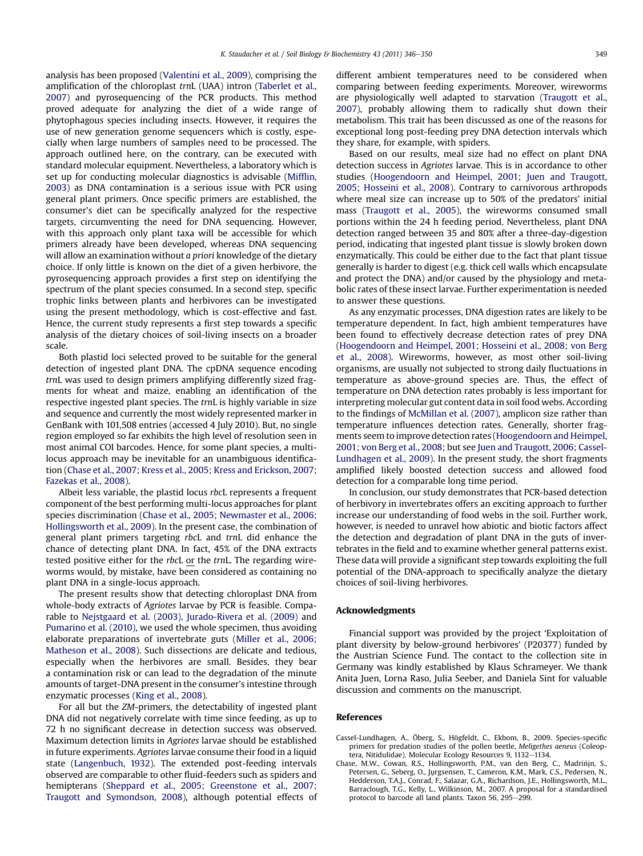<span id="page-3-0"></span>analysis has been proposed [\(Valentini et al., 2009](#page-4-0)), comprising the amplification of the chloroplast trnL (UAA) intron [\(Taberlet et al.,](#page-4-0) [2007\)](#page-4-0) and pyrosequencing of the PCR products. This method proved adequate for analyzing the diet of a wide range of phytophagous species including insects. However, it requires the use of new generation genome sequencers which is costly, especially when large numbers of samples need to be processed. The approach outlined here, on the contrary, can be executed with standard molecular equipment. Nevertheless, a laboratory which is set up for conducting molecular diagnostics is advisable [\(Mif](#page-4-0)flin, [2003\)](#page-4-0) as DNA contamination is a serious issue with PCR using general plant primers. Once specific primers are established, the consumer's diet can be specifically analyzed for the respective targets, circumventing the need for DNA sequencing. However, with this approach only plant taxa will be accessible for which primers already have been developed, whereas DNA sequencing will allow an examination without a priori knowledge of the dietary choice. If only little is known on the diet of a given herbivore, the pyrosequencing approach provides a first step on identifying the spectrum of the plant species consumed. In a second step, specific trophic links between plants and herbivores can be investigated using the present methodology, which is cost-effective and fast. Hence, the current study represents a first step towards a specific analysis of the dietary choices of soil-living insects on a broader scale.

Both plastid loci selected proved to be suitable for the general detection of ingested plant DNA. The cpDNA sequence encoding trnL was used to design primers amplifying differently sized fragments for wheat and maize, enabling an identification of the respective ingested plant species. The trnL is highly variable in size and sequence and currently the most widely represented marker in GenBank with 101,508 entries (accessed 4 July 2010). But, no single region employed so far exhibits the high level of resolution seen in most animal COI barcodes. Hence, for some plant species, a multilocus approach may be inevitable for an unambiguous identification (Chase et al., 2007; Kress et al., 2005; Kress and Erickson, 2007; Fazekas et al., 2008).

Albeit less variable, the plastid locus rbcL represents a frequent component of the best performing multi-locus approaches for plant species discrimination [\(Chase et al., 2005; Newmaster et al., 2006;](#page-4-0) [Hollingsworth et al., 2009](#page-4-0)). In the present case, the combination of general plant primers targeting rbcL and trnL did enhance the chance of detecting plant DNA. In fact, 45% of the DNA extracts tested positive either for the rbcL or the trnL. The regarding wireworms would, by mistake, have been considered as containing no plant DNA in a single-locus approach.

The present results show that detecting chloroplast DNA from whole-body extracts of Agriotes larvae by PCR is feasible. Comparable to [Nejstgaard et al. \(2003\), Jurado-Rivera et al. \(2009\)](#page-4-0) and [Pumarino et al. \(2010\),](#page-4-0) we used the whole specimen, thus avoiding elaborate preparations of invertebrate guts ([Miller et al., 2006;](#page-4-0) [Matheson et al., 2008](#page-4-0)). Such dissections are delicate and tedious, especially when the herbivores are small. Besides, they bear a contamination risk or can lead to the degradation of the minute amounts of target-DNA present in the consumer's intestine through enzymatic processes ([King et al., 2008](#page-4-0)).

For all but the ZM-primers, the detectability of ingested plant DNA did not negatively correlate with time since feeding, as up to 72 h no significant decrease in detection success was observed. Maximum detection limits in Agriotes larvae should be established in future experiments. Agriotes larvae consume their food in a liquid state ([Langenbuch, 1932](#page-4-0)). The extended post-feeding intervals observed are comparable to other fluid-feeders such as spiders and hemipterans [\(Sheppard et al., 2005; Greenstone et al., 2007;](#page-4-0) [Traugott and Symondson, 2008](#page-4-0)), although potential effects of different ambient temperatures need to be considered when comparing between feeding experiments. Moreover, wireworms are physiologically well adapted to starvation [\(Traugott et al.,](#page-4-0) [2007\)](#page-4-0), probably allowing them to radically shut down their metabolism. This trait has been discussed as one of the reasons for exceptional long post-feeding prey DNA detection intervals which they share, for example, with spiders.

Based on our results, meal size had no effect on plant DNA detection success in Agriotes larvae. This is in accordance to other studies [\(Hoogendoorn and Heimpel, 2001; Juen and Traugott,](#page-4-0) [2005; Hosseini et al., 2008\)](#page-4-0). Contrary to carnivorous arthropods where meal size can increase up to 50% of the predators' initial mass ([Traugott et al., 2005\)](#page-4-0), the wireworms consumed small portions within the 24 h feeding period. Nevertheless, plant DNA detection ranged between 35 and 80% after a three-day-digestion period, indicating that ingested plant tissue is slowly broken down enzymatically. This could be either due to the fact that plant tissue generally is harder to digest (e.g. thick cell walls which encapsulate and protect the DNA) and/or caused by the physiology and metabolic rates of these insect larvae. Further experimentation is needed to answer these questions.

As any enzymatic processes, DNA digestion rates are likely to be temperature dependent. In fact, high ambient temperatures have been found to effectively decrease detection rates of prey DNA ([Hoogendoorn and Heimpel, 2001; Hosseini et al., 2008; von Berg](#page-4-0) [et al., 2008](#page-4-0)). Wireworms, however, as most other soil-living organisms, are usually not subjected to strong daily fluctuations in temperature as above-ground species are. Thus, the effect of temperature on DNA detection rates probably is less important for interpreting molecular gut content data in soil food webs. According to the findings of [McMillan et al. \(2007\),](#page-4-0) amplicon size rather than temperature influences detection rates. Generally, shorter fragments seem to improve detection rates ([Hoogendoorn and Heimpel,](#page-4-0) [2001; von Berg et al., 2008;](#page-4-0) but see [Juen and Traugott, 2006; Cassel-](#page-4-0)[Lundhagen et al., 2009](#page-4-0)). In the present study, the short fragments amplified likely boosted detection success and allowed food detection for a comparable long time period.

In conclusion, our study demonstrates that PCR-based detection of herbivory in invertebrates offers an exciting approach to further increase our understanding of food webs in the soil. Further work, however, is needed to unravel how abiotic and biotic factors affect the detection and degradation of plant DNA in the guts of invertebrates in the field and to examine whether general patterns exist. These data will provide a significant step towards exploiting the full potential of the DNA-approach to specifically analyze the dietary choices of soil-living herbivores.

#### Acknowledgments

Financial support was provided by the project 'Exploitation of plant diversity by below-ground herbivores' (P20377) funded by the Austrian Science Fund. The contact to the collection site in Germany was kindly established by Klaus Schrameyer. We thank Anita Juen, Lorna Raso, Julia Seeber, and Daniela Sint for valuable discussion and comments on the manuscript.

#### References

- Cassel-Lundhagen, A., Öberg, S., Högfeldt, C., Ekbom, B., 2009. Species-specific primers for predation studies of the pollen beetle, Meligethes aeneus (Coleoptera, Nitidulidae). Molecular Ecology Resources 9, 1132-1134.
- Chase, M.W., Cowan, R.S., Hollingsworth, P.M., van den Berg, C., Madrińįn, S. Petersen, G., Seberg, O., Jurgsensen, T., Cameron, K.M., Mark, C.S., Pedersen, N., Hedderson, T.A.J., Conrad, F., Salazar, G.A., Richardson, J.E., Hollingsworth, M.L., Barraclough, T.G., Kelly, L., Wilkinson, M., 2007. A proposal for a standardised protocol to barcode all land plants. Taxon 56, 295-299.